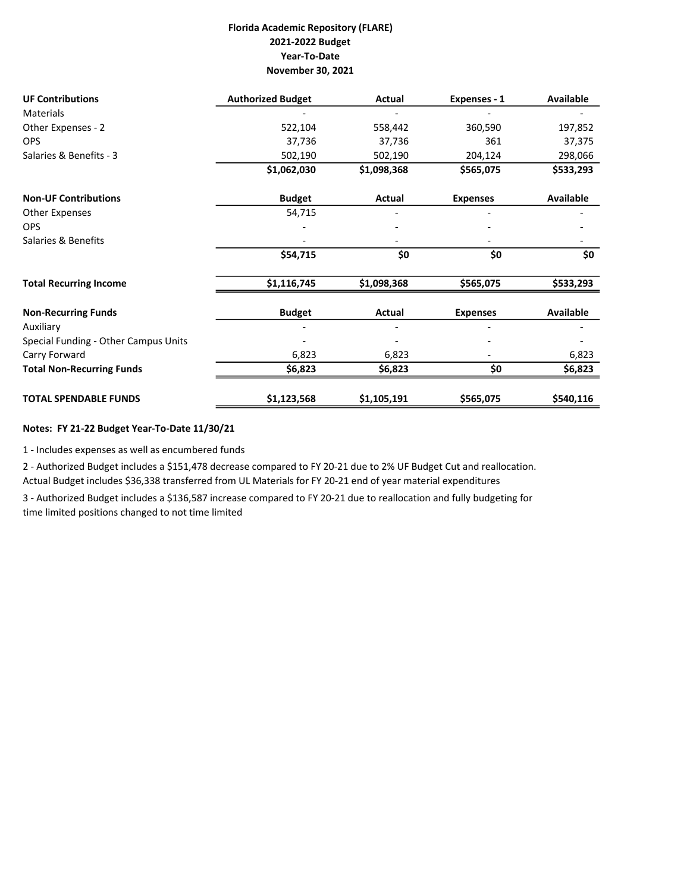## Florida Academic Repository (FLARE) 2021-2022 Budget Year-To-Date November 30, 2021

| <b>UF Contributions</b>              | <b>Authorized Budget</b> | Actual                   | Expenses - 1    | Available        |
|--------------------------------------|--------------------------|--------------------------|-----------------|------------------|
| <b>Materials</b>                     |                          |                          |                 |                  |
| Other Expenses - 2                   | 522,104                  | 558,442                  | 360,590         | 197,852          |
| <b>OPS</b>                           | 37,736                   | 37,736                   | 361             | 37,375           |
| Salaries & Benefits - 3              | 502,190                  | 502,190                  | 204,124         | 298,066          |
|                                      | \$1,062,030              | \$1,098,368              | \$565,075       | \$533,293        |
| <b>Non-UF Contributions</b>          | <b>Budget</b>            | Actual                   | <b>Expenses</b> | Available        |
| Other Expenses                       | 54,715                   |                          |                 |                  |
| <b>OPS</b>                           |                          | $\overline{\phantom{0}}$ |                 |                  |
| Salaries & Benefits                  |                          |                          |                 |                  |
|                                      | \$54,715                 | \$0                      | \$0             | \$0              |
| <b>Total Recurring Income</b>        | \$1,116,745              | \$1,098,368              | \$565,075       | \$533,293        |
| <b>Non-Recurring Funds</b>           | <b>Budget</b>            | Actual                   | <b>Expenses</b> | <b>Available</b> |
| Auxiliary                            |                          |                          |                 |                  |
| Special Funding - Other Campus Units |                          |                          |                 |                  |
| Carry Forward                        | 6,823                    | 6,823                    |                 | 6,823            |
| <b>Total Non-Recurring Funds</b>     | \$6,823                  | \$6,823                  | \$0             | \$6,823          |
| <b>TOTAL SPENDABLE FUNDS</b>         | \$1,123,568              | \$1,105,191              | \$565,075       | \$540,116        |

## Notes: FY 21-22 Budget Year-To-Date 11/30/21

1 - Includes expenses as well as encumbered funds

2 - Authorized Budget includes a \$151,478 decrease compared to FY 20-21 due to 2% UF Budget Cut and reallocation. Actual Budget includes \$36,338 transferred from UL Materials for FY 20-21 end of year material expenditures

3 - Authorized Budget includes a \$136,587 increase compared to FY 20-21 due to reallocation and fully budgeting for time limited positions changed to not time limited